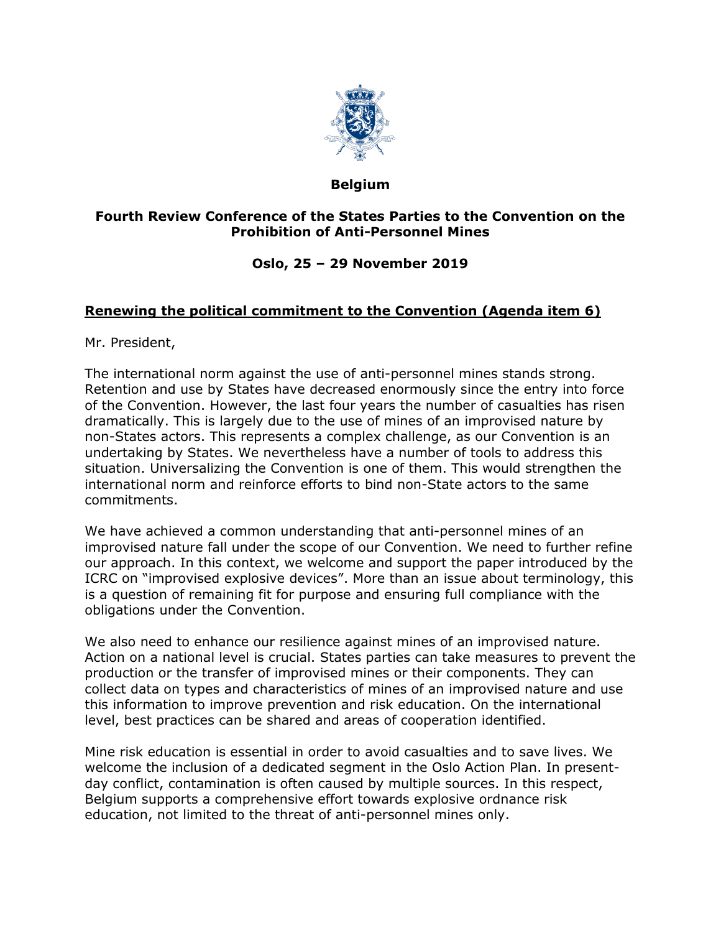

### **Belgium**

## **Fourth Review Conference of the States Parties to the Convention on the Prohibition of Anti-Personnel Mines**

# **Oslo, 25 – 29 November 2019**

## **Renewing the political commitment to the Convention (Agenda item 6)**

Mr. President,

The international norm against the use of anti-personnel mines stands strong. Retention and use by States have decreased enormously since the entry into force of the Convention. However, the last four years the number of casualties has risen dramatically. This is largely due to the use of mines of an improvised nature by non-States actors. This represents a complex challenge, as our Convention is an undertaking by States. We nevertheless have a number of tools to address this situation. Universalizing the Convention is one of them. This would strengthen the international norm and reinforce efforts to bind non-State actors to the same commitments.

We have achieved a common understanding that anti-personnel mines of an improvised nature fall under the scope of our Convention. We need to further refine our approach. In this context, we welcome and support the paper introduced by the ICRC on "improvised explosive devices". More than an issue about terminology, this is a question of remaining fit for purpose and ensuring full compliance with the obligations under the Convention.

We also need to enhance our resilience against mines of an improvised nature. Action on a national level is crucial. States parties can take measures to prevent the production or the transfer of improvised mines or their components. They can collect data on types and characteristics of mines of an improvised nature and use this information to improve prevention and risk education. On the international level, best practices can be shared and areas of cooperation identified.

Mine risk education is essential in order to avoid casualties and to save lives. We welcome the inclusion of a dedicated segment in the Oslo Action Plan. In presentday conflict, contamination is often caused by multiple sources. In this respect, Belgium supports a comprehensive effort towards explosive ordnance risk education, not limited to the threat of anti-personnel mines only.